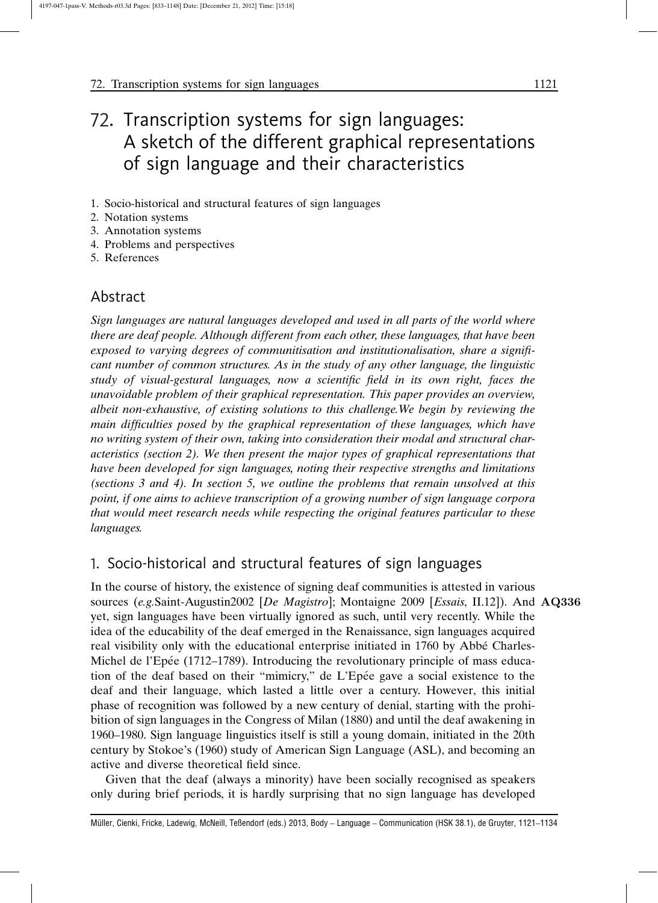# 72. Transcription systems for sign languages: A sketch of the different graphical representations of sign language and their characteristics

- 1. Socio-historical and structural features of sign languages
- 2. Notation systems
- 3. Annotation systems
- 4. Problems and perspectives
- 5. References

# Abstract

Sign languages are natural languages developed and used in all parts of the world where there are deaf people. Although different from each other, these languages, that have been exposed to varying degrees of communitisation and institutionalisation, share a significant number of common structures. As in the study of any other language, the linguistic study of visual-gestural languages, now a scientific field in its own right, faces the unavoidable problem of their graphical representation. This paper provides an overview, albeit non-exhaustive, of existing solutions to this challenge.We begin by reviewing the main difficulties posed by the graphical representation of these languages, which have no writing system of their own, taking into consideration their modal and structural characteristics (section 2). We then present the major types of graphical representations that have been developed for sign languages, noting their respective strengths and limitations (sections 3 and 4). In section 5, we outline the problems that remain unsolved at this point, if one aims to achieve transcription of a growing number of sign language corpora that would meet research needs while respecting the original features particular to these languages.

# 1. Socio-historical and structural features of sign languages

In the course of history, the existence of signing deaf communities is attested in various sources (e.g.Saint-Augustin2002 [De Magistro]; Montaigne 2009 [Essais, II.12]). And AQ336 yet, sign languages have been virtually ignored as such, until very recently. While the idea of the educability of the deaf emerged in the Renaissance, sign languages acquired real visibility only with the educational enterprise initiated in 1760 by Abbé Charles-Michel de l'Epée (1712–1789). Introducing the revolutionary principle of mass education of the deaf based on their "mimicry," de L'Epée gave a social existence to the deaf and their language, which lasted a little over a century. However, this initial phase of recognition was followed by a new century of denial, starting with the prohibition of sign languages in the Congress of Milan (1880) and until the deaf awakening in 1960–1980. Sign language linguistics itself is still a young domain, initiated in the 20th century by Stokoe's (1960) study of American Sign Language (ASL), and becoming an active and diverse theoretical field since.

Given that the deaf (always a minority) have been socially recognised as speakers only during brief periods, it is hardly surprising that no sign language has developed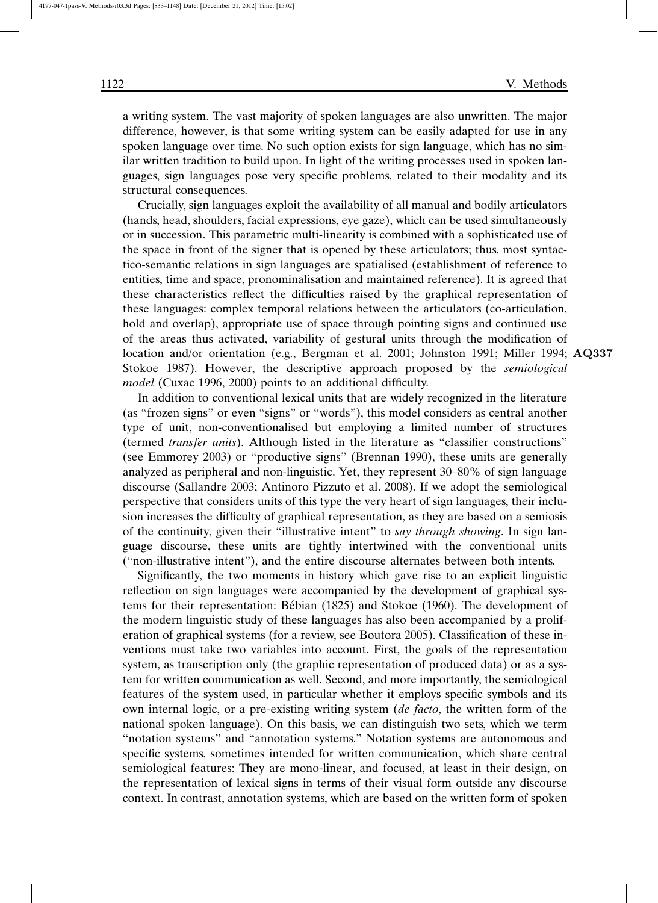a writing system. The vast majority of spoken languages are also unwritten. The major difference, however, is that some writing system can be easily adapted for use in any spoken language over time. No such option exists for sign language, which has no similar written tradition to build upon. In light of the writing processes used in spoken languages, sign languages pose very specific problems, related to their modality and its structural consequences.

Crucially, sign languages exploit the availability of all manual and bodily articulators (hands, head, shoulders, facial expressions, eye gaze), which can be used simultaneously or in succession. This parametric multi-linearity is combined with a sophisticated use of the space in front of the signer that is opened by these articulators; thus, most syntactico-semantic relations in sign languages are spatialised (establishment of reference to entities, time and space, pronominalisation and maintained reference). It is agreed that these characteristics reflect the difficulties raised by the graphical representation of these languages: complex temporal relations between the articulators (co-articulation, hold and overlap), appropriate use of space through pointing signs and continued use of the areas thus activated, variability of gestural units through the modification of location and/or orientation (e.g., Bergman et al. 2001; Johnston 1991; Miller 1994; AQ337 Stokoe 1987). However, the descriptive approach proposed by the *semiological model* (Cuxac 1996, 2000) points to an additional difficulty.

In addition to conventional lexical units that are widely recognized in the literature (as "frozen signs" or even "signs" or "words"), this model considers as central another type of unit, non-conventionalised but employing a limited number of structures (termed *transfer units*). Although listed in the literature as "classifier constructions" (see Emmorey 2003) or "productive signs" (Brennan 1990), these units are generally analyzed as peripheral and non-linguistic. Yet, they represent 30–80% of sign language discourse (Sallandre 2003; Antinoro Pizzuto et al. 2008). If we adopt the semiological perspective that considers units of this type the very heart of sign languages, their inclusion increases the difficulty of graphical representation, as they are based on a semiosis of the continuity, given their "illustrative intent" to *say through showing*. In sign language discourse, these units are tightly intertwined with the conventional units ("non-illustrative intent"), and the entire discourse alternates between both intents.

Significantly, the two moments in history which gave rise to an explicit linguistic reflection on sign languages were accompanied by the development of graphical systems for their representation: Bébian (1825) and Stokoe (1960). The development of the modern linguistic study of these languages has also been accompanied by a proliferation of graphical systems (for a review, see Boutora 2005). Classification of these inventions must take two variables into account. First, the goals of the representation system, as transcription only (the graphic representation of produced data) or as a system for written communication as well. Second, and more importantly, the semiological features of the system used, in particular whether it employs specific symbols and its own internal logic, or a pre-existing writing system (*de facto*, the written form of the national spoken language). On this basis, we can distinguish two sets, which we term "notation systems" and "annotation systems." Notation systems are autonomous and specific systems, sometimes intended for written communication, which share central semiological features: They are mono-linear, and focused, at least in their design, on the representation of lexical signs in terms of their visual form outside any discourse context. In contrast, annotation systems, which are based on the written form of spoken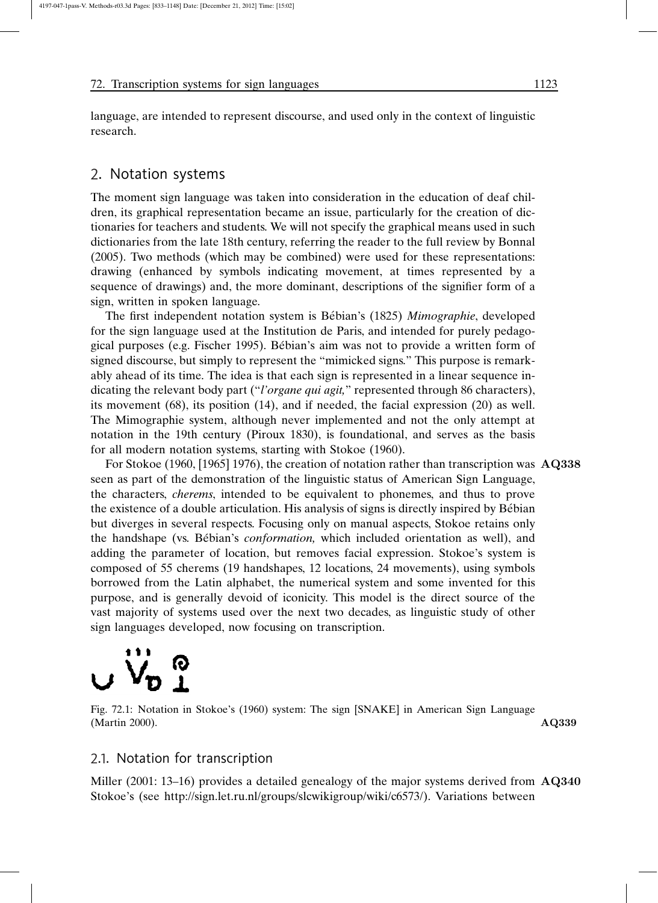language, are intended to represent discourse, and used only in the context of linguistic research.

# 2. Notation systems

The moment sign language was taken into consideration in the education of deaf children, its graphical representation became an issue, particularly for the creation of dictionaries for teachers and students. We will not specify the graphical means used in such dictionaries from the late 18th century, referring the reader to the full review by Bonnal (2005). Two methods (which may be combined) were used for these representations: drawing (enhanced by symbols indicating movement, at times represented by a sequence of drawings) and, the more dominant, descriptions of the signifier form of a sign, written in spoken language.

The first independent notation system is Bébian's (1825) *Mimographie*, developed for the sign language used at the Institution de Paris, and intended for purely pedagogical purposes (e.g. Fischer 1995). Be´bian's aim was not to provide a written form of signed discourse, but simply to represent the "mimicked signs." This purpose is remarkably ahead of its time. The idea is that each sign is represented in a linear sequence indicating the relevant body part ("*l'organe qui agit,*" represented through 86 characters), its movement (68), its position (14), and if needed, the facial expression (20) as well. The Mimographie system, although never implemented and not the only attempt at notation in the 19th century (Piroux 1830), is foundational, and serves as the basis for all modern notation systems, starting with Stokoe (1960).

For Stokoe (1960, [1965] 1976), the creation of notation rather than transcription was AQ338 seen as part of the demonstration of the linguistic status of American Sign Language, the characters, *cherems*, intended to be equivalent to phonemes, and thus to prove the existence of a double articulation. His analysis of signs is directly inspired by Bébian but diverges in several respects. Focusing only on manual aspects, Stokoe retains only the handshape (vs. Be´bian's *conformation,* which included orientation as well), and adding the parameter of location, but removes facial expression. Stokoe's system is composed of 55 cherems (19 handshapes, 12 locations, 24 movements), using symbols borrowed from the Latin alphabet, the numerical system and some invented for this purpose, and is generally devoid of iconicity. This model is the direct source of the vast majority of systems used over the next two decades, as linguistic study of other sign languages developed, now focusing on transcription.

# $V_{\mathbf{D}}$   $\frac{\mathbf{\odot}}{\mathbf{1}}$

Fig. 72.1: Notation in Stokoe's (1960) system: The sign [SNAKE] in American Sign Language (Martin 2000). AQ339

# 2.1. Notation for transcription

Miller (2001: 13–16) provides a detailed genealogy of the major systems derived from AQ340 Stokoe's (see http://sign.let.ru.nl/groups/slcwikigroup/wiki/c6573/). Variations between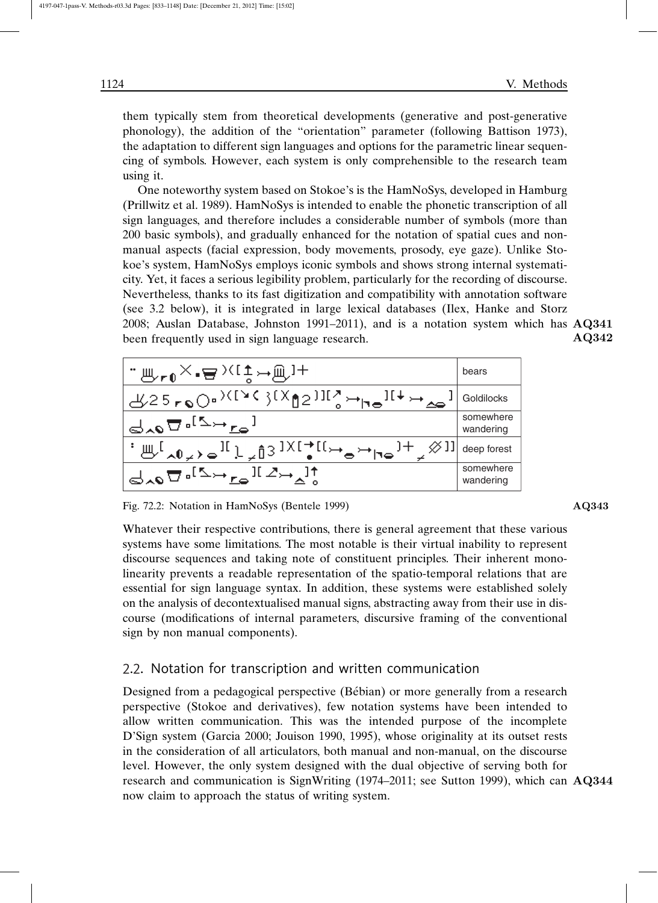them typically stem from theoretical developments (generative and post-generative phonology), the addition of the "orientation" parameter (following Battison 1973), the adaptation to different sign languages and options for the parametric linear sequencing of symbols. However, each system is only comprehensible to the research team using it.

One noteworthy system based on Stokoe's is the HamNoSys, developed in Hamburg (Prillwitz et al. 1989). HamNoSys is intended to enable the phonetic transcription of all sign languages, and therefore includes a considerable number of symbols (more than 200 basic symbols), and gradually enhanced for the notation of spatial cues and nonmanual aspects (facial expression, body movements, prosody, eye gaze). Unlike Stokoe's system, HamNoSys employs iconic symbols and shows strong internal systematicity. Yet, it faces a serious legibility problem, particularly for the recording of discourse. Nevertheless, thanks to its fast digitization and compatibility with annotation software (see 3.2 below), it is integrated in large lexical databases (Ilex, Hanke and Storz 2008; Auslan Database, Johnston 1991–2011), and is a notation system which has  $\mathbf{A}\mathbf{Q}341$ AQ342 been frequently used in sign language research.

| <sub>™⊮∽«P≀(‡⊶@}+</sub>                                                                                                                                                                                                                                                                                                                                                                                                                                                           | bears                  |
|-----------------------------------------------------------------------------------------------------------------------------------------------------------------------------------------------------------------------------------------------------------------------------------------------------------------------------------------------------------------------------------------------------------------------------------------------------------------------------------|------------------------|
| y25roO. <sup>&gt;\{`</sup> \{`}{X^{}}]I{``Ho <sup>][↓</sup> Ha                                                                                                                                                                                                                                                                                                                                                                                                                    | Goldilocks             |
| $d_{\lambda 0} \nabla \cdot$ <sup>[2+ro]</sup>                                                                                                                                                                                                                                                                                                                                                                                                                                    | somewhere<br>wandering |
| $\mathbb{E} \left[ \mathbb{E}_{\mathbb{E}_{\mathbb{E}}} \right]_{\mathbb{E}_{\mathbb{E}_{\mathbb{E}}} \setminus \mathbb{E}_{\mathbb{E}}} \mathbb{E}_{\mathbb{E}_{\mathbb{E}}} \left[ \mathbb{E}_{\mathbb{E}_{\mathbb{E}}} \right]_{\mathbb{E}_{\mathbb{E}}} \mathbb{E}_{\mathbb{E}_{\mathbb{E}}} \left[ \mathbb{E}_{\mathbb{E}_{\mathbb{E}}} \right]_{\mathbb{E}_{\mathbb{E}}} \mathbb{E}_{\mathbb{E}_{\mathbb{E}}} \left[ \mathbb{E}_{\mathbb{E}_{\mathbb{E}}} \right]_{\mathbb$ | deep forest            |
| $d_{\lambda 0} \nabla \cdot {}^{[\Delta \leftrightarrow} \mathbf{r}_{0} \mathbf{1} \cdot {}^{[\Delta \leftrightarrow} \mathbf{r}_{1}]}$                                                                                                                                                                                                                                                                                                                                           | somewhere<br>wandering |

Fig. 72.2: Notation in HamNoSys (Bentele 1999) AQ343

Whatever their respective contributions, there is general agreement that these various systems have some limitations. The most notable is their virtual inability to represent discourse sequences and taking note of constituent principles. Their inherent monolinearity prevents a readable representation of the spatio-temporal relations that are essential for sign language syntax. In addition, these systems were established solely on the analysis of decontextualised manual signs, abstracting away from their use in discourse (modifications of internal parameters, discursive framing of the conventional sign by non manual components).

## 2.2. Notation for transcription and written communication

Designed from a pedagogical perspective (Bébian) or more generally from a research perspective (Stokoe and derivatives), few notation systems have been intended to allow written communication. This was the intended purpose of the incomplete D'Sign system (Garcia 2000; Jouison 1990, 1995), whose originality at its outset rests in the consideration of all articulators, both manual and non-manual, on the discourse level. However, the only system designed with the dual objective of serving both for research and communication is SignWriting (1974–2011; see Sutton 1999), which can AQ344 now claim to approach the status of writing system.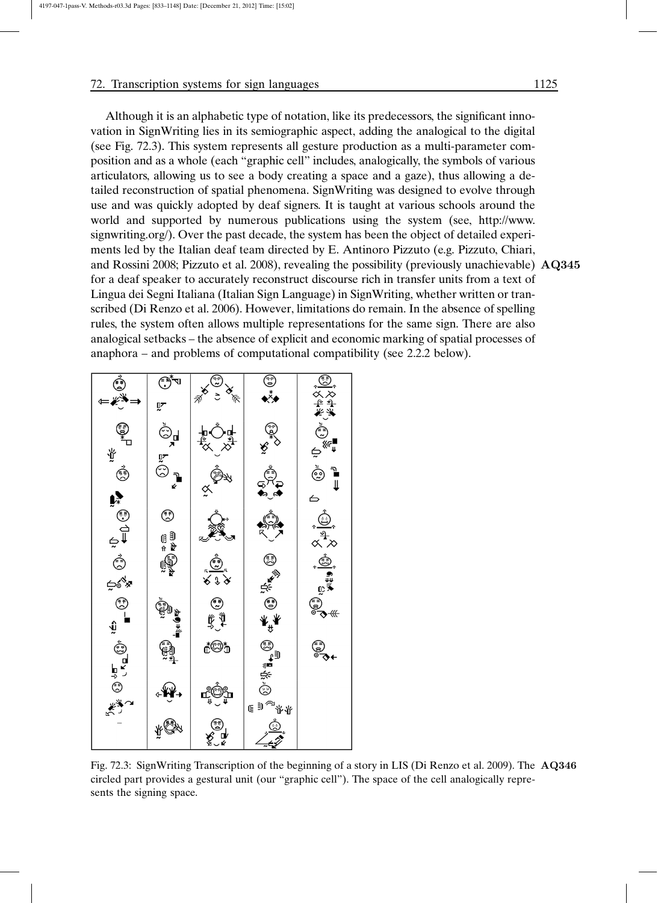Although it is an alphabetic type of notation, like its predecessors, the significant innovation in SignWriting lies in its semiographic aspect, adding the analogical to the digital (see Fig. 72.3). This system represents all gesture production as a multi-parameter composition and as a whole (each "graphic cell" includes, analogically, the symbols of various articulators, allowing us to see a body creating a space and a gaze), thus allowing a detailed reconstruction of spatial phenomena. SignWriting was designed to evolve through use and was quickly adopted by deaf signers. It is taught at various schools around the world and supported by numerous publications using the system (see, http://www. signwriting.org/). Over the past decade, the system has been the object of detailed experiments led by the Italian deaf team directed by E. Antinoro Pizzuto (e.g. Pizzuto, Chiari, and Rossini 2008; Pizzuto et al. 2008), revealing the possibility (previously unachievable) AQ345 for a deaf speaker to accurately reconstruct discourse rich in transfer units from a text of Lingua dei Segni Italiana (Italian Sign Language) in SignWriting, whether written or transcribed (Di Renzo et al. 2006). However, limitations do remain. In the absence of spelling rules, the system often allows multiple representations for the same sign. There are also analogical setbacks – the absence of explicit and economic marking of spatial processes of anaphora – and problems of computational compatibility (see 2.2.2 below).



Fig. 72.3: SignWriting Transcription of the beginning of a story in LIS (Di Renzo et al. 2009). The AQ346 circled part provides a gestural unit (our "graphic cell"). The space of the cell analogically represents the signing space.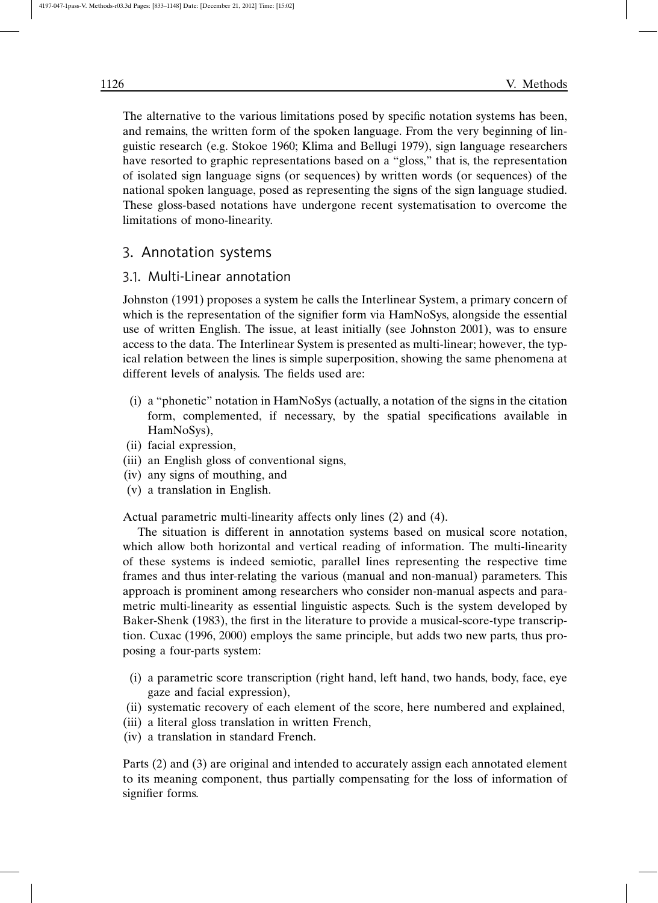The alternative to the various limitations posed by specific notation systems has been, and remains, the written form of the spoken language. From the very beginning of linguistic research (e.g. Stokoe 1960; Klima and Bellugi 1979), sign language researchers have resorted to graphic representations based on a "gloss," that is, the representation of isolated sign language signs (or sequences) by written words (or sequences) of the national spoken language, posed as representing the signs of the sign language studied. These gloss-based notations have undergone recent systematisation to overcome the limitations of mono-linearity.

# 3. Annotation systems

# 3.1. Multi-Linear annotation

Johnston (1991) proposes a system he calls the Interlinear System, a primary concern of which is the representation of the signifier form via HamNoSys, alongside the essential use of written English. The issue, at least initially (see Johnston 2001), was to ensure access to the data. The Interlinear System is presented as multi-linear; however, the typical relation between the lines is simple superposition, showing the same phenomena at different levels of analysis. The fields used are:

- (i) a "phonetic" notation in HamNoSys (actually, a notation of the signs in the citation form, complemented, if necessary, by the spatial specifications available in HamNoSys),
- (ii) facial expression,
- (iii) an English gloss of conventional signs,
- (iv) any signs of mouthing, and
- (v) a translation in English.

Actual parametric multi-linearity affects only lines (2) and (4).

The situation is different in annotation systems based on musical score notation, which allow both horizontal and vertical reading of information. The multi-linearity of these systems is indeed semiotic, parallel lines representing the respective time frames and thus inter-relating the various (manual and non-manual) parameters. This approach is prominent among researchers who consider non-manual aspects and parametric multi-linearity as essential linguistic aspects. Such is the system developed by Baker-Shenk (1983), the first in the literature to provide a musical-score-type transcription. Cuxac (1996, 2000) employs the same principle, but adds two new parts, thus proposing a four-parts system:

- (i) a parametric score transcription (right hand, left hand, two hands, body, face, eye gaze and facial expression),
- (ii) systematic recovery of each element of the score, here numbered and explained,
- (iii) a literal gloss translation in written French,
- (iv) a translation in standard French.

Parts (2) and (3) are original and intended to accurately assign each annotated element to its meaning component, thus partially compensating for the loss of information of signifier forms.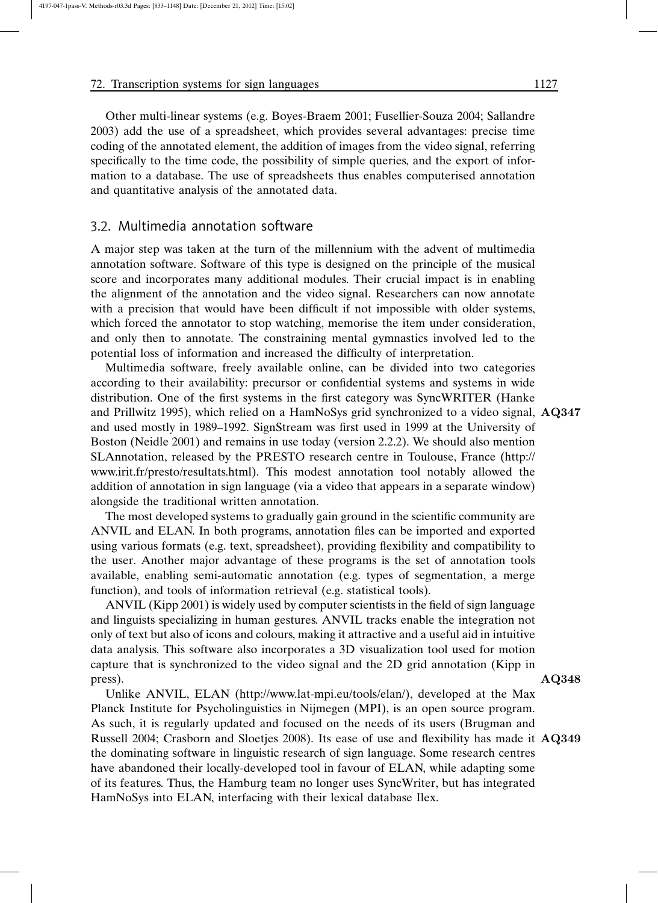Other multi-linear systems (e.g. Boyes-Braem 2001; Fusellier-Souza 2004; Sallandre 2003) add the use of a spreadsheet, which provides several advantages: precise time coding of the annotated element, the addition of images from the video signal, referring specifically to the time code, the possibility of simple queries, and the export of information to a database. The use of spreadsheets thus enables computerised annotation and quantitative analysis of the annotated data.

# 3.2. Multimedia annotation software

A major step was taken at the turn of the millennium with the advent of multimedia annotation software. Software of this type is designed on the principle of the musical score and incorporates many additional modules. Their crucial impact is in enabling the alignment of the annotation and the video signal. Researchers can now annotate with a precision that would have been difficult if not impossible with older systems, which forced the annotator to stop watching, memorise the item under consideration, and only then to annotate. The constraining mental gymnastics involved led to the potential loss of information and increased the difficulty of interpretation.

Multimedia software, freely available online, can be divided into two categories according to their availability: precursor or confidential systems and systems in wide distribution. One of the first systems in the first category was SyncWRITER (Hanke and Prillwitz 1995), which relied on a HamNoSys grid synchronized to a video signal, AQ347 and used mostly in 1989–1992. SignStream was first used in 1999 at the University of Boston (Neidle 2001) and remains in use today (version 2.2.2). We should also mention SLAnnotation, released by the PRESTO research centre in Toulouse, France (http:// www.irit.fr/presto/resultats.html). This modest annotation tool notably allowed the addition of annotation in sign language (via a video that appears in a separate window) alongside the traditional written annotation.

The most developed systems to gradually gain ground in the scientific community are ANVIL and ELAN. In both programs, annotation files can be imported and exported using various formats (e.g. text, spreadsheet), providing flexibility and compatibility to the user. Another major advantage of these programs is the set of annotation tools available, enabling semi-automatic annotation (e.g. types of segmentation, a merge function), and tools of information retrieval (e.g. statistical tools).

ANVIL (Kipp 2001) is widely used by computer scientists in the field of sign language and linguists specializing in human gestures. ANVIL tracks enable the integration not only of text but also of icons and colours, making it attractive and a useful aid in intuitive data analysis. This software also incorporates a 3D visualization tool used for motion capture that is synchronized to the video signal and the 2D grid annotation (Kipp in press).  $\bf{AQ348}$ 

Unlike ANVIL, ELAN (http://www.lat-mpi.eu/tools/elan/), developed at the Max Planck Institute for Psycholinguistics in Nijmegen (MPI), is an open source program. As such, it is regularly updated and focused on the needs of its users (Brugman and Russell 2004; Crasborn and Sloetjes 2008). Its ease of use and flexibility has made it AQ349 the dominating software in linguistic research of sign language. Some research centres have abandoned their locally-developed tool in favour of ELAN, while adapting some of its features. Thus, the Hamburg team no longer uses SyncWriter, but has integrated HamNoSys into ELAN, interfacing with their lexical database Ilex.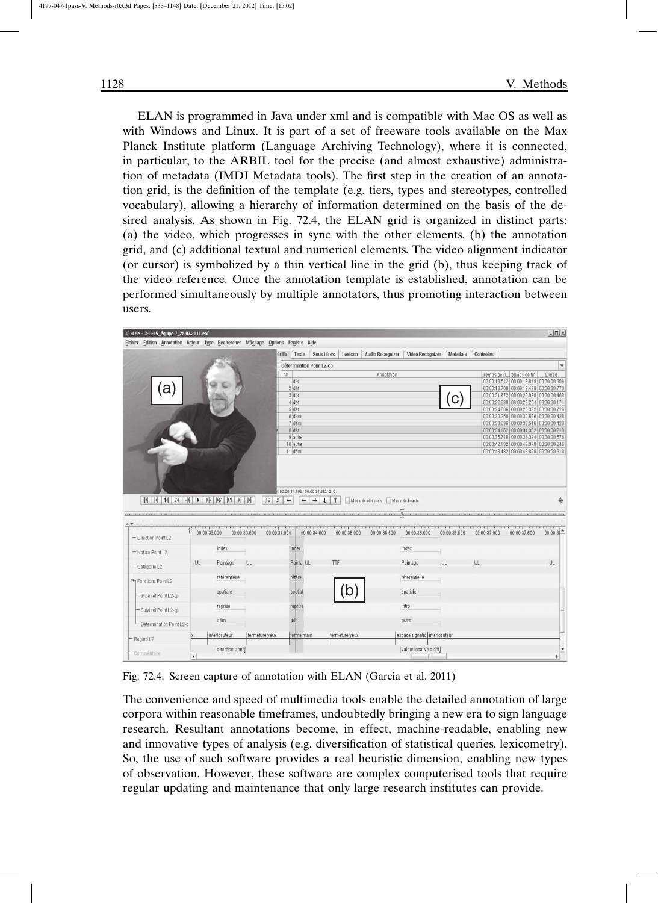ELAN is programmed in Java under xml and is compatible with Mac OS as well as with Windows and Linux. It is part of a set of freeware tools available on the Max Planck Institute platform (Language Archiving Technology), where it is connected, in particular, to the ARBIL tool for the precise (and almost exhaustive) administration of metadata (IMDI Metadata tools). The first step in the creation of an annotation grid, is the definition of the template (e.g. tiers, types and stereotypes, controlled vocabulary), allowing a hierarchy of information determined on the basis of the desired analysis. As shown in Fig. 72.4, the ELAN grid is organized in distinct parts: (a) the video, which progresses in sync with the other elements, (b) the annotation grid, and (c) additional textual and numerical elements. The video alignment indicator (or cursor) is symbolized by a thin vertical line in the grid (b), thus keeping track of the video reference. Once the annotation template is established, annotation can be performed simultaneously by multiple annotators, thus promoting interaction between users.

| ELAN - DEGELS_équipe 7_25.03.2011.eaf                                                                                                                                                                        |              |                 |                |              |                    |                                                                  |                |                                                             |                               |              |              |                                                                                    |                   |
|--------------------------------------------------------------------------------------------------------------------------------------------------------------------------------------------------------------|--------------|-----------------|----------------|--------------|--------------------|------------------------------------------------------------------|----------------|-------------------------------------------------------------|-------------------------------|--------------|--------------|------------------------------------------------------------------------------------|-------------------|
| Fichier Edition Annotation Acteur Type Rechercher Affichage Options Fenêtre Aide                                                                                                                             |              |                 |                |              |                    |                                                                  |                |                                                             |                               |              |              |                                                                                    |                   |
|                                                                                                                                                                                                              |              |                 |                | Grille       |                    | Texte Sous-titres                                                | Lexicon        | Audio Recognizer                                            | Video Recognizer              | Metadata     | Contrôles    |                                                                                    |                   |
|                                                                                                                                                                                                              |              |                 |                |              |                    | Détermination Point L2-cp                                        |                |                                                             |                               |              |              |                                                                                    | $\mathbf{v}$      |
|                                                                                                                                                                                                              |              |                 |                | Nr           |                    |                                                                  |                | Annotation                                                  |                               |              |              | Temps de d temps de fin                                                            | Durée             |
|                                                                                                                                                                                                              |              |                 |                |              | 1 déf              |                                                                  |                |                                                             |                               |              |              | 00:00:13.542 00:00:13.848 00:00:00.306                                             |                   |
| a)                                                                                                                                                                                                           |              |                 |                |              | 2 déf<br>3 déf     |                                                                  |                |                                                             |                               |              |              | 00:00:18.700 00:00:19.470 00:00:00.770<br>00:00:21.672 00:00:22.080 00:00:00.408   |                   |
|                                                                                                                                                                                                              |              |                 |                |              | 4 déf              |                                                                  |                |                                                             |                               | С            |              | 00:00:22.080 00:00:22.254 00:00:00.174                                             |                   |
|                                                                                                                                                                                                              |              |                 |                |              | 5 déf              |                                                                  |                |                                                             |                               |              |              | 00:00:24.606 00:00:26.332 00:00:00.726                                             |                   |
|                                                                                                                                                                                                              |              |                 |                |              | 6 dém              |                                                                  |                |                                                             |                               |              |              | 00:00:30.258 00:00:30.696 00:00:00.438                                             |                   |
|                                                                                                                                                                                                              |              |                 |                |              | 7 dém              |                                                                  |                |                                                             |                               |              |              | 00:00:33.096 00:00:33.516 00:00:00.420                                             |                   |
|                                                                                                                                                                                                              |              |                 |                |              | 8 déf              |                                                                  |                |                                                             |                               |              |              | 00:00:34.152 00:00:34.362 00:00:00.210                                             |                   |
|                                                                                                                                                                                                              |              |                 |                |              | 9 autre            |                                                                  |                |                                                             |                               |              |              | 00:00:35.748 00:00:36.324 00:00:00.576                                             |                   |
|                                                                                                                                                                                                              |              |                 |                |              | 10 autre<br>11 dém |                                                                  |                |                                                             |                               |              |              | 00:00:42.132 00:00:42.378 00:00:00.246<br>00:00:43.482 00:00:43.800 00:00:00.318   |                   |
|                                                                                                                                                                                                              |              |                 |                |              |                    |                                                                  |                |                                                             |                               |              |              |                                                                                    |                   |
| $\mathbb{R} \mid \mathbb{R} \mid \mathbb{R} \mid \mathbb{N} \mid \mathbb{R} \mid \mathbb{R} \mid \mathbb{R} \mid \mathbb{N} \mid \mathbb{N} \mid \mathbb{N} \mid \mathbb{N} \mid \mathbb{N} \mid \mathbb{N}$ |              |                 |                | $ S $ $S$    | $\leftarrow$       | 00:00:34:152 - 00:00:34.362 210<br>$\rightarrow$<br>$\downarrow$ | $\uparrow$     | Mode de sélection Mode de boucle                            |                               |              |              |                                                                                    |                   |
|                                                                                                                                                                                                              | 00:00:33.000 |                 | 00:00:33.500   |              |                    | 00:00:34.500                                                     | 00:00:35.000   | 3-11-1-1-1-1-1-110-1-1-1-1-1-1-1-1-1111-1-1<br>00:00:35.500 | 00:00:36.000                  | 00:00:36.500 | 00:00:37.000 | THE R. P. LEWIS CO., CANADA MARKET CO., LANSING, MICHAEL AND MICH.<br>00:00:37.500 |                   |
| <b>COLO. B. A. A. A. A. A. A. A. A. A. A.</b><br>- Direction Point L2                                                                                                                                        |              |                 |                | 00:00:34.000 |                    |                                                                  |                |                                                             |                               |              |              |                                                                                    |                   |
| - Nature Point L2                                                                                                                                                                                            |              | index           |                |              | index              |                                                                  |                |                                                             | index                         |              |              |                                                                                    |                   |
| - Catégorie L2                                                                                                                                                                                               | UL           | Pointage        | UL             |              | Pointa, UL         |                                                                  | TTF            |                                                             | Pointage                      | UL           | UL.          |                                                                                    | UL                |
|                                                                                                                                                                                                              |              | référentielle   |                |              | référe             |                                                                  |                |                                                             | référentielle                 |              |              |                                                                                    |                   |
| - Type réf Point L2-cp                                                                                                                                                                                       |              | spatiale        |                |              | spatial            |                                                                  | b              |                                                             | spatiale                      |              |              |                                                                                    |                   |
| - Suivi réf Point L2-cp                                                                                                                                                                                      |              | reprise         |                |              | reprise            |                                                                  |                |                                                             | intro                         |              |              |                                                                                    |                   |
| - Détermination Point L2-c                                                                                                                                                                                   |              | dém             |                |              | dé                 |                                                                  |                |                                                             | autre                         |              |              |                                                                                    |                   |
| 中 Fonctions Point L2<br>- Regard L2                                                                                                                                                                          |              | interlocuteur   | fermeture yeux |              | forme main         |                                                                  | fermeture yeux |                                                             | espace signatio interlocuteur |              |              |                                                                                    | ÷<br>$00:00:31 -$ |
| - Commentaire                                                                                                                                                                                                |              | direction: zone |                |              |                    |                                                                  |                |                                                             | valeur locative = dét         |              |              |                                                                                    |                   |

Fig. 72.4: Screen capture of annotation with ELAN (Garcia et al. 2011)

The convenience and speed of multimedia tools enable the detailed annotation of large corpora within reasonable timeframes, undoubtedly bringing a new era to sign language research. Resultant annotations become, in effect, machine-readable, enabling new and innovative types of analysis (e.g. diversification of statistical queries, lexicometry). So, the use of such software provides a real heuristic dimension, enabling new types of observation. However, these software are complex computerised tools that require regular updating and maintenance that only large research institutes can provide.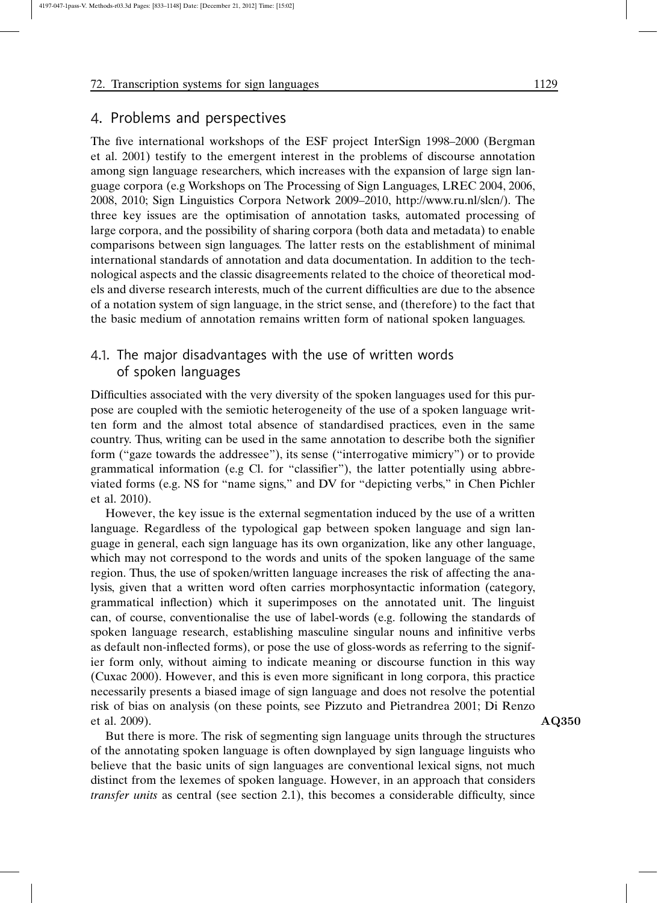# 4. Problems and perspectives

The five international workshops of the ESF project InterSign 1998–2000 (Bergman et al. 2001) testify to the emergent interest in the problems of discourse annotation among sign language researchers, which increases with the expansion of large sign language corpora (e.g Workshops on The Processing of Sign Languages, LREC 2004, 2006, 2008, 2010; Sign Linguistics Corpora Network 2009–2010, http://www.ru.nl/slcn/). The three key issues are the optimisation of annotation tasks, automated processing of large corpora, and the possibility of sharing corpora (both data and metadata) to enable comparisons between sign languages. The latter rests on the establishment of minimal international standards of annotation and data documentation. In addition to the technological aspects and the classic disagreements related to the choice of theoretical models and diverse research interests, much of the current difficulties are due to the absence of a notation system of sign language, in the strict sense, and (therefore) to the fact that the basic medium of annotation remains written form of national spoken languages.

# 4.1. The major disadvantages with the use of written words of spoken languages

Difficulties associated with the very diversity of the spoken languages used for this purpose are coupled with the semiotic heterogeneity of the use of a spoken language written form and the almost total absence of standardised practices, even in the same country. Thus, writing can be used in the same annotation to describe both the signifier form ("gaze towards the addressee"), its sense ("interrogative mimicry") or to provide grammatical information (e.g Cl. for "classifier"), the latter potentially using abbreviated forms (e.g. NS for "name signs," and DV for "depicting verbs," in Chen Pichler et al. 2010).

However, the key issue is the external segmentation induced by the use of a written language. Regardless of the typological gap between spoken language and sign language in general, each sign language has its own organization, like any other language, which may not correspond to the words and units of the spoken language of the same region. Thus, the use of spoken/written language increases the risk of affecting the analysis, given that a written word often carries morphosyntactic information (category, grammatical inflection) which it superimposes on the annotated unit. The linguist can, of course, conventionalise the use of label-words (e.g. following the standards of spoken language research, establishing masculine singular nouns and infinitive verbs as default non-inflected forms), or pose the use of gloss-words as referring to the signifier form only, without aiming to indicate meaning or discourse function in this way (Cuxac 2000). However, and this is even more significant in long corpora, this practice necessarily presents a biased image of sign language and does not resolve the potential risk of bias on analysis (on these points, see Pizzuto and Pietrandrea 2001; Di Renzo et al. 2009). AQ350

But there is more. The risk of segmenting sign language units through the structures of the annotating spoken language is often downplayed by sign language linguists who believe that the basic units of sign languages are conventional lexical signs, not much distinct from the lexemes of spoken language. However, in an approach that considers *transfer units* as central (see section 2.1), this becomes a considerable difficulty, since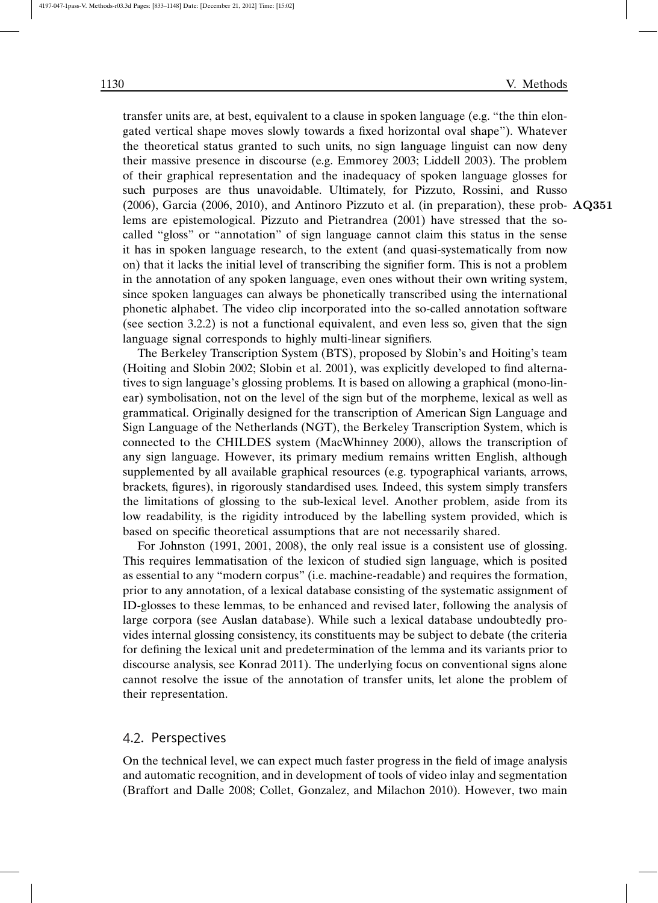transfer units are, at best, equivalent to a clause in spoken language (e.g. "the thin elongated vertical shape moves slowly towards a fixed horizontal oval shape"). Whatever the theoretical status granted to such units, no sign language linguist can now deny their massive presence in discourse (e.g. Emmorey 2003; Liddell 2003). The problem of their graphical representation and the inadequacy of spoken language glosses for such purposes are thus unavoidable. Ultimately, for Pizzuto, Rossini, and Russo (2006), Garcia (2006, 2010), and Antinoro Pizzuto et al. (in preparation), these prob- AQ351 lems are epistemological. Pizzuto and Pietrandrea (2001) have stressed that the socalled "gloss" or "annotation" of sign language cannot claim this status in the sense it has in spoken language research, to the extent (and quasi-systematically from now on) that it lacks the initial level of transcribing the signifier form. This is not a problem in the annotation of any spoken language, even ones without their own writing system, since spoken languages can always be phonetically transcribed using the international phonetic alphabet. The video clip incorporated into the so-called annotation software (see section 3.2.2) is not a functional equivalent, and even less so, given that the sign language signal corresponds to highly multi-linear signifiers.

The Berkeley Transcription System (BTS), proposed by Slobin's and Hoiting's team (Hoiting and Slobin 2002; Slobin et al. 2001), was explicitly developed to find alternatives to sign language's glossing problems. It is based on allowing a graphical (mono-linear) symbolisation, not on the level of the sign but of the morpheme, lexical as well as grammatical. Originally designed for the transcription of American Sign Language and Sign Language of the Netherlands (NGT), the Berkeley Transcription System, which is connected to the CHILDES system (MacWhinney 2000), allows the transcription of any sign language. However, its primary medium remains written English, although supplemented by all available graphical resources (e.g. typographical variants, arrows, brackets, figures), in rigorously standardised uses. Indeed, this system simply transfers the limitations of glossing to the sub-lexical level. Another problem, aside from its low readability, is the rigidity introduced by the labelling system provided, which is based on specific theoretical assumptions that are not necessarily shared.

For Johnston (1991, 2001, 2008), the only real issue is a consistent use of glossing. This requires lemmatisation of the lexicon of studied sign language, which is posited as essential to any "modern corpus" (i.e. machine-readable) and requires the formation, prior to any annotation, of a lexical database consisting of the systematic assignment of ID-glosses to these lemmas, to be enhanced and revised later, following the analysis of large corpora (see Auslan database). While such a lexical database undoubtedly provides internal glossing consistency, its constituents may be subject to debate (the criteria for defining the lexical unit and predetermination of the lemma and its variants prior to discourse analysis, see Konrad 2011). The underlying focus on conventional signs alone cannot resolve the issue of the annotation of transfer units, let alone the problem of their representation.

## 4.2. Perspectives

On the technical level, we can expect much faster progress in the field of image analysis and automatic recognition, and in development of tools of video inlay and segmentation (Braffort and Dalle 2008; Collet, Gonzalez, and Milachon 2010). However, two main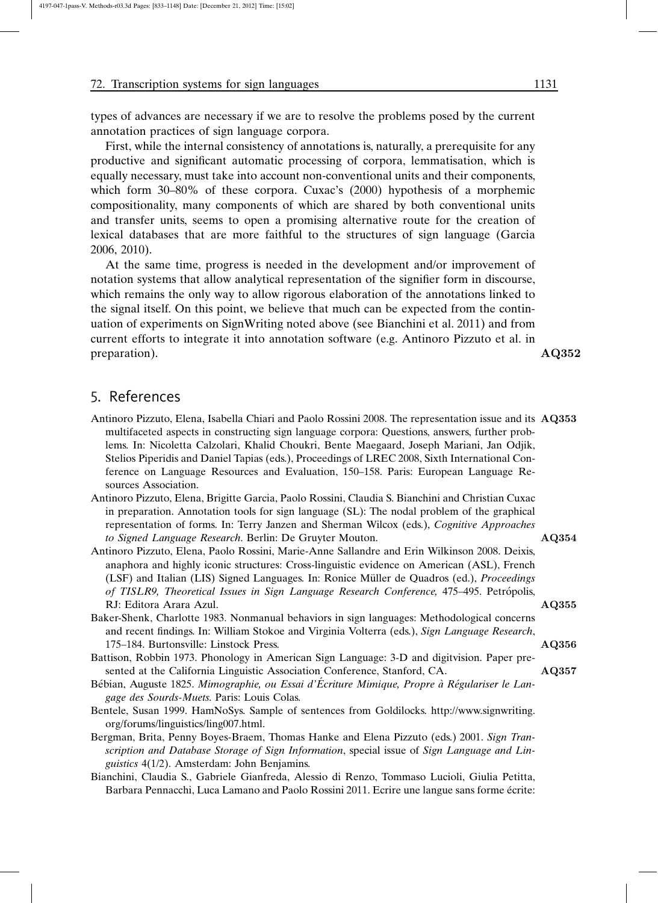types of advances are necessary if we are to resolve the problems posed by the current annotation practices of sign language corpora.

First, while the internal consistency of annotations is, naturally, a prerequisite for any productive and significant automatic processing of corpora, lemmatisation, which is equally necessary, must take into account non-conventional units and their components, which form 30–80% of these corpora. Cuxac's (2000) hypothesis of a morphemic compositionality, many components of which are shared by both conventional units and transfer units, seems to open a promising alternative route for the creation of lexical databases that are more faithful to the structures of sign language (Garcia 2006, 2010).

At the same time, progress is needed in the development and/or improvement of notation systems that allow analytical representation of the signifier form in discourse, which remains the only way to allow rigorous elaboration of the annotations linked to the signal itself. On this point, we believe that much can be expected from the continuation of experiments on SignWriting noted above (see Bianchini et al. 2011) and from current efforts to integrate it into annotation software (e.g. Antinoro Pizzuto et al. in preparation). AQ352

# 5. References

Antinoro Pizzuto, Elena, Isabella Chiari and Paolo Rossini 2008. The representation issue and its AQ353 multifaceted aspects in constructing sign language corpora: Questions, answers, further problems. In: Nicoletta Calzolari, Khalid Choukri, Bente Maegaard, Joseph Mariani, Jan Odjik, Stelios Piperidis and Daniel Tapias (eds.), Proceedings of LREC 2008, Sixth International Conference on Language Resources and Evaluation, 150–158. Paris: European Language Resources Association.

Antinoro Pizzuto, Elena, Brigitte Garcia, Paolo Rossini, Claudia S. Bianchini and Christian Cuxac in preparation. Annotation tools for sign language (SL): The nodal problem of the graphical representation of forms. In: Terry Janzen and Sherman Wilcox (eds.), *Cognitive Approaches to Signed Language Research*. Berlin: De Gruyter Mouton. AQ354

- Antinoro Pizzuto, Elena, Paolo Rossini, Marie-Anne Sallandre and Erin Wilkinson 2008. Deixis, anaphora and highly iconic structures: Cross-linguistic evidence on American (ASL), French (LSF) and Italian (LIS) Signed Languages. In: Ronice Müller de Quadros (ed.), *Proceedings of TISLR9, Theoretical Issues in Sign Language Research Conference,* 475–495. Petro´polis, RJ: Editora Arara Azul. AQ355
- Baker-Shenk, Charlotte 1983. Nonmanual behaviors in sign languages: Methodological concerns and recent findings. In: William Stokoe and Virginia Volterra (eds.), *Sign Language Research*, 175–184. Burtonsville: Linstock Press. AQ356
- Battison, Robbin 1973. Phonology in American Sign Language: 3-D and digitvision. Paper presented at the California Linguistic Association Conference, Stanford, CA. AQ357
- Bébian, Auguste 1825. Mimographie, ou Essai d'Écriture Mimique, Propre à Régulariser le Lan*gage des Sourds-Muets*. Paris: Louis Colas.
- Bentele, Susan 1999. HamNoSys. Sample of sentences from Goldilocks. http://www.signwriting. org/forums/linguistics/ling007.html.
- Bergman, Brita, Penny Boyes-Braem, Thomas Hanke and Elena Pizzuto (eds.) 2001. *Sign Transcription and Database Storage of Sign Information*, special issue of *Sign Language and Linguistics* 4(1/2). Amsterdam: John Benjamins.
- Bianchini, Claudia S., Gabriele Gianfreda, Alessio di Renzo, Tommaso Lucioli, Giulia Petitta, Barbara Pennacchi, Luca Lamano and Paolo Rossini 2011. Ecrire une langue sans forme écrite: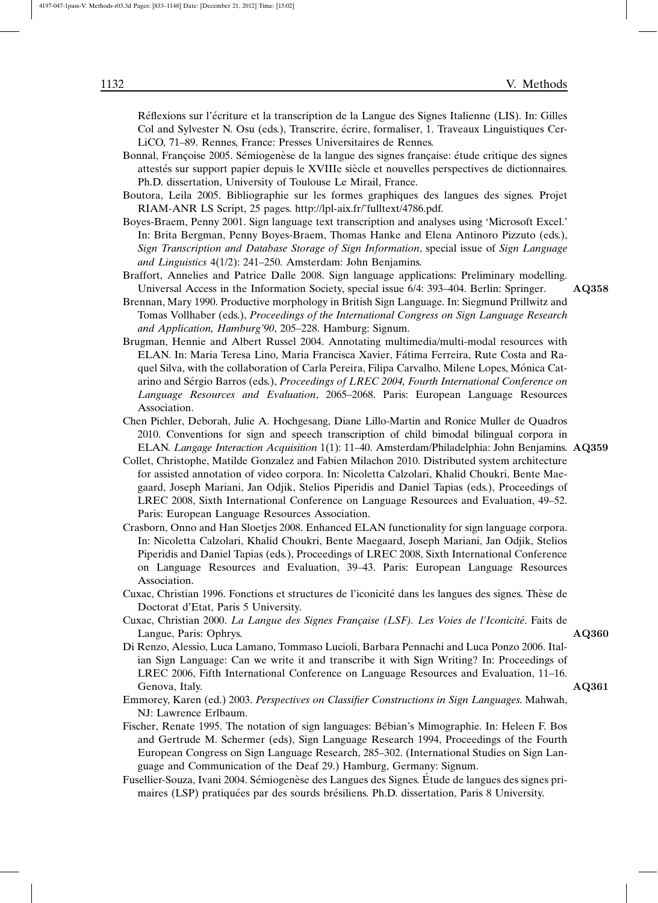Réflexions sur l'écriture et la transcription de la Langue des Signes Italienne (LIS). In: Gilles Col and Sylvester N. Osu (eds.), Transcrire, écrire, formaliser, 1. Traveaux Linguistiques Cer-LiCO, 71–89. Rennes, France: Presses Universitaires de Rennes.

- Bonnal, Françoise 2005. Sémiogenèse de la langue des signes française: étude critique des signes attestés sur support papier depuis le XVIIIe siècle et nouvelles perspectives de dictionnaires. Ph.D. dissertation, University of Toulouse Le Mirail, France.
- Boutora, Leila 2005. Bibliographie sur les formes graphiques des langues des signes. Projet RIAM-ANR LS Script, 25 pages. http://lpl-aix.fr/˜fulltext/4786.pdf.
- Boyes-Braem, Penny 2001. Sign language text transcription and analyses using 'Microsoft Excel.' In: Brita Bergman, Penny Boyes-Braem, Thomas Hanke and Elena Antinoro Pizzuto (eds.), *Sign Transcription and Database Storage of Sign Information*, special issue of *Sign Language and Linguistics* 4(1/2): 241–250. Amsterdam: John Benjamins.
- Braffort, Annelies and Patrice Dalle 2008. Sign language applications: Preliminary modelling. Universal Access in the Information Society, special issue 6/4: 393–404. Berlin: Springer. AQ358
- Brennan, Mary 1990. Productive morphology in British Sign Language. In: Siegmund Prillwitz and Tomas Vollhaber (eds.), *Proceedings of the International Congress on Sign Language Research and Application, Hamburg'90*, 205–228. Hamburg: Signum.
- Brugman, Hennie and Albert Russel 2004. Annotating multimedia/multi-modal resources with ELAN. In: Maria Teresa Lino, Maria Francisca Xavier, Fa´tima Ferreira, Rute Costa and Raquel Silva, with the collaboration of Carla Pereira, Filipa Carvalho, Milene Lopes, Mónica Catarino and Sérgio Barros (eds.), *Proceedings of LREC 2004, Fourth International Conference on Language Resources and Evaluation*, 2065–2068. Paris: European Language Resources Association.
- Chen Pichler, Deborah, Julie A. Hochgesang, Diane Lillo-Martin and Ronice Muller de Quadros 2010. Conventions for sign and speech transcription of child bimodal bilingual corpora in ELAN. *Langage Interaction Acquisition* 1(1): 11–40. Amsterdam/Philadelphia: John Benjamins. AQ359
	-
- Collet, Christophe, Matilde Gonzalez and Fabien Milachon 2010. Distributed system architecture for assisted annotation of video corpora. In: Nicoletta Calzolari, Khalid Choukri, Bente Maegaard, Joseph Mariani, Jan Odjik, Stelios Piperidis and Daniel Tapias (eds.), Proceedings of LREC 2008, Sixth International Conference on Language Resources and Evaluation, 49–52. Paris: European Language Resources Association.
- Crasborn, Onno and Han Sloetjes 2008. Enhanced ELAN functionality for sign language corpora. In: Nicoletta Calzolari, Khalid Choukri, Bente Maegaard, Joseph Mariani, Jan Odjik, Stelios Piperidis and Daniel Tapias (eds.), Proceedings of LREC 2008, Sixth International Conference on Language Resources and Evaluation, 39–43. Paris: European Language Resources Association.
- Cuxac, Christian 1996. Fonctions et structures de l'iconicité dans les langues des signes. Thèse de Doctorat d'Etat, Paris 5 University.
- Cuxac, Christian 2000. *La Langue des Signes Française (LSF). Les Voies de l'Iconicité*. Faits de Langue, Paris: Ophrys. AQ360

- Di Renzo, Alessio, Luca Lamano, Tommaso Lucioli, Barbara Pennachi and Luca Ponzo 2006. Italian Sign Language: Can we write it and transcribe it with Sign Writing? In: Proceedings of LREC 2006, Fifth International Conference on Language Resources and Evaluation, 11–16. Genova, Italy. A Q361
- Emmorey, Karen (ed.) 2003. *Perspectives on Classifier Constructions in Sign Languages*. Mahwah, NJ: Lawrence Erlbaum.
- Fischer, Renate 1995. The notation of sign languages: Bébian's Mimographie. In: Heleen F. Bos and Gertrude M. Schermer (eds), Sign Language Research 1994, Proceedings of the Fourth European Congress on Sign Language Research, 285–302. (International Studies on Sign Language and Communication of the Deaf 29.) Hamburg, Germany: Signum.
- Fusellier-Souza, Ivani 2004. Sémiogenèse des Langues des Signes. Étude de langues des signes primaires (LSP) pratiquées par des sourds brésiliens. Ph.D. dissertation, Paris 8 University.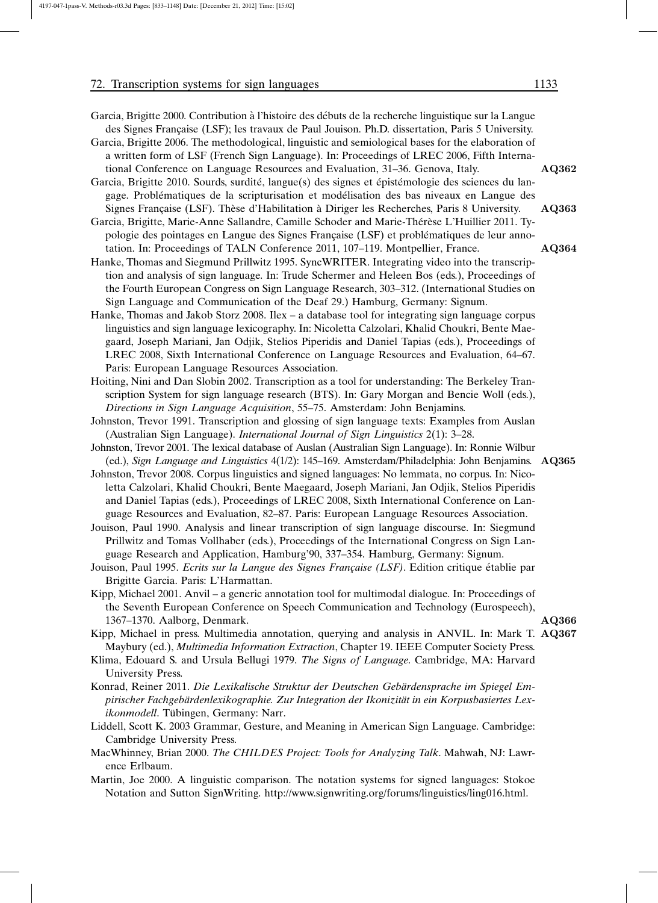| Garcia, Brigitte 2000. Contribution à l'histoire des débuts de la recherche linguistique sur la Langue<br>des Signes Française (LSF); les travaux de Paul Jouison. Ph.D. dissertation, Paris 5 University. |       |
|------------------------------------------------------------------------------------------------------------------------------------------------------------------------------------------------------------|-------|
| Garcia, Brigitte 2006. The methodological, linguistic and semiological bases for the elaboration of                                                                                                        |       |
| a written form of LSF (French Sign Language). In: Proceedings of LREC 2006, Fifth Interna-                                                                                                                 |       |
| tional Conference on Language Resources and Evaluation, 31–36. Genova, Italy.                                                                                                                              | AO362 |
| Garcia, Brigitte 2010. Sourds, surdité, langue(s) des signes et épistémologie des sciences du lan-                                                                                                         |       |
| gage. Problématiques de la scripturisation et modélisation des bas niveaux en Langue des                                                                                                                   |       |
| Signes Française (LSF). Thèse d'Habilitation à Diriger les Recherches, Paris 8 University.                                                                                                                 | AO363 |
| Garcia, Brigitte, Marie-Anne Sallandre, Camille Schoder and Marie-Thérèse L'Huillier 2011. Ty-                                                                                                             |       |
| pologie des pointages en Langue des Signes Française (LSF) et problématiques de leur anno-                                                                                                                 |       |
| tation. In: Proceedings of TALN Conference 2011, 107–119. Montpellier, France.                                                                                                                             | AQ364 |
| Hanke, Thomas and Siegmund Prillwitz 1995. SyncWRITER. Integrating video into the transcrip-                                                                                                               |       |
| tion and analysis of sign language. In: Trude Schermer and Heleen Bos (eds.), Proceedings of                                                                                                               |       |
| the Fourth European Congress on Sign Language Research, 303–312. (International Studies on                                                                                                                 |       |
| Sion Language and Communication of the Deaf 29 Hamburg Germany Signum                                                                                                                                      |       |

- Sign Language and Communication of Hanke, Thomas and Jakob Storz 2008. Ilex – a database tool for integrating sign language corpus linguistics and sign language lexicography. In: Nicoletta Calzolari, Khalid Choukri, Bente Maegaard, Joseph Mariani, Jan Odjik, Stelios Piperidis and Daniel Tapias (eds.), Proceedings of LREC 2008, Sixth International Conference on Language Resources and Evaluation, 64–67. Paris: European Language Resources Association.
- Hoiting, Nini and Dan Slobin 2002. Transcription as a tool for understanding: The Berkeley Transcription System for sign language research (BTS). In: Gary Morgan and Bencie Woll (eds.), *Directions in Sign Language Acquisition*, 55–75. Amsterdam: John Benjamins.
- Johnston, Trevor 1991. Transcription and glossing of sign language texts: Examples from Auslan (Australian Sign Language). *International Journal of Sign Linguistics* 2(1): 3–28.
- Johnston, Trevor 2001. The lexical database of Auslan (Australian Sign Language). In: Ronnie Wilbur (ed.), *Sign Language and Linguistics* 4(1/2): 145–169. Amsterdam/Philadelphia: John Benjamins. AQ365
- Johnston, Trevor 2008. Corpus linguistics and signed languages: No lemmata, no corpus. In: Nicoletta Calzolari, Khalid Choukri, Bente Maegaard, Joseph Mariani, Jan Odjik, Stelios Piperidis and Daniel Tapias (eds.), Proceedings of LREC 2008, Sixth International Conference on Language Resources and Evaluation, 82–87. Paris: European Language Resources Association.
- Jouison, Paul 1990. Analysis and linear transcription of sign language discourse. In: Siegmund Prillwitz and Tomas Vollhaber (eds.), Proceedings of the International Congress on Sign Language Research and Application, Hamburg'90, 337–354. Hamburg, Germany: Signum.
- Jouison, Paul 1995. *Ecrits sur la Langue des Signes Française (LSF)*. Edition critique établie par Brigitte Garcia. Paris: L'Harmattan.
- Kipp, Michael 2001. Anvil a generic annotation tool for multimodal dialogue. In: Proceedings of the Seventh European Conference on Speech Communication and Technology (Eurospeech), 1367–1370. Aalborg, Denmark. AQ366
- Kipp, Michael in press. Multimedia annotation, querying and analysis in ANVIL. In: Mark T. AQ367 Maybury (ed.), *Multimedia Information Extraction*, Chapter 19. IEEE Computer Society Press.
- Klima, Edouard S. and Ursula Bellugi 1979. *The Signs of Language*. Cambridge, MA: Harvard University Press.
- Konrad, Reiner 2011. Die Lexikalische Struktur der Deutschen Gebärdensprache im Spiegel Em*pirischer Fachgeba¨rdenlexikographie. Zur Integration der Ikonizita¨t in ein Korpusbasiertes Lexikonmodell*. Tübingen, Germany: Narr.
- Liddell, Scott K. 2003 Grammar, Gesture, and Meaning in American Sign Language. Cambridge: Cambridge University Press.
- MacWhinney, Brian 2000. *The CHILDES Project: Tools for Analyzing Talk*. Mahwah, NJ: Lawrence Erlbaum.
- Martin, Joe 2000. A linguistic comparison. The notation systems for signed languages: Stokoe Notation and Sutton SignWriting. http://www.signwriting.org/forums/linguistics/ling016.html.